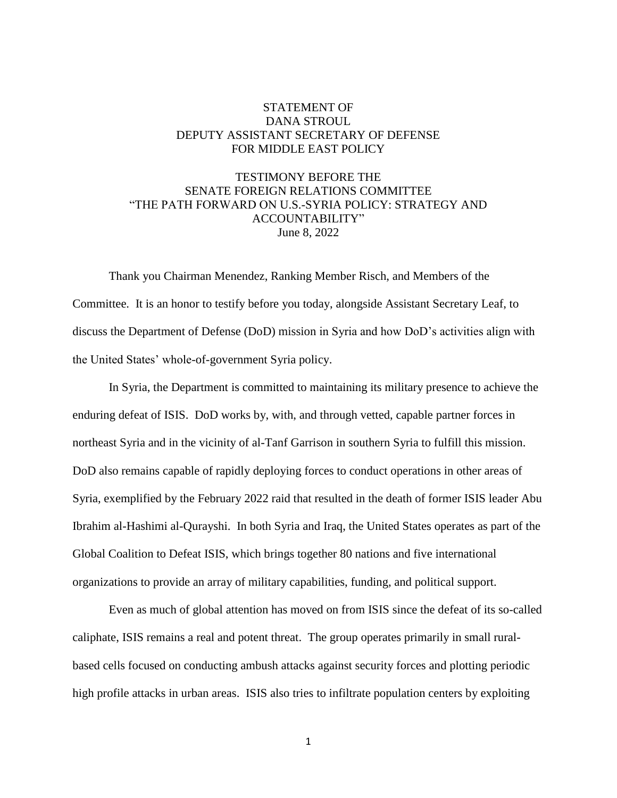## STATEMENT OF DANA STROUL DEPUTY ASSISTANT SECRETARY OF DEFENSE FOR MIDDLE EAST POLICY

## TESTIMONY BEFORE THE SENATE FOREIGN RELATIONS COMMITTEE "THE PATH FORWARD ON U.S.-SYRIA POLICY: STRATEGY AND ACCOUNTABILITY" June 8, 2022

Thank you Chairman Menendez, Ranking Member Risch, and Members of the Committee. It is an honor to testify before you today, alongside Assistant Secretary Leaf, to discuss the Department of Defense (DoD) mission in Syria and how DoD's activities align with the United States' whole-of-government Syria policy.

In Syria, the Department is committed to maintaining its military presence to achieve the enduring defeat of ISIS. DoD works by, with, and through vetted, capable partner forces in northeast Syria and in the vicinity of al-Tanf Garrison in southern Syria to fulfill this mission. DoD also remains capable of rapidly deploying forces to conduct operations in other areas of Syria, exemplified by the February 2022 raid that resulted in the death of former ISIS leader Abu Ibrahim al-Hashimi al-Qurayshi. In both Syria and Iraq, the United States operates as part of the Global Coalition to Defeat ISIS, which brings together 80 nations and five international organizations to provide an array of military capabilities, funding, and political support.

Even as much of global attention has moved on from ISIS since the defeat of its so-called caliphate, ISIS remains a real and potent threat. The group operates primarily in small ruralbased cells focused on conducting ambush attacks against security forces and plotting periodic high profile attacks in urban areas. ISIS also tries to infiltrate population centers by exploiting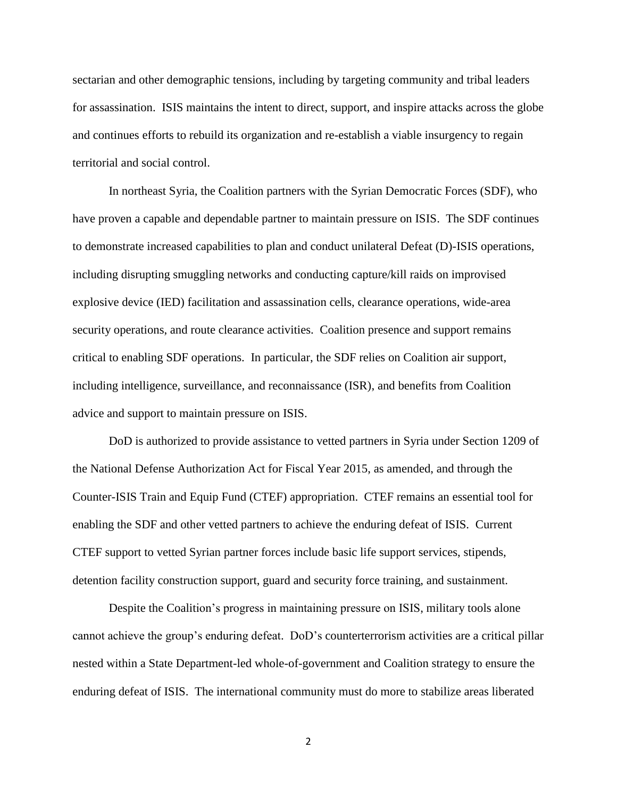sectarian and other demographic tensions, including by targeting community and tribal leaders for assassination. ISIS maintains the intent to direct, support, and inspire attacks across the globe and continues efforts to rebuild its organization and re-establish a viable insurgency to regain territorial and social control.

In northeast Syria, the Coalition partners with the Syrian Democratic Forces (SDF), who have proven a capable and dependable partner to maintain pressure on ISIS. The SDF continues to demonstrate increased capabilities to plan and conduct unilateral Defeat (D)-ISIS operations, including disrupting smuggling networks and conducting capture/kill raids on improvised explosive device (IED) facilitation and assassination cells, clearance operations, wide-area security operations, and route clearance activities. Coalition presence and support remains critical to enabling SDF operations. In particular, the SDF relies on Coalition air support, including intelligence, surveillance, and reconnaissance (ISR), and benefits from Coalition advice and support to maintain pressure on ISIS.

DoD is authorized to provide assistance to vetted partners in Syria under Section 1209 of the National Defense Authorization Act for Fiscal Year 2015, as amended, and through the Counter-ISIS Train and Equip Fund (CTEF) appropriation. CTEF remains an essential tool for enabling the SDF and other vetted partners to achieve the enduring defeat of ISIS. Current CTEF support to vetted Syrian partner forces include basic life support services, stipends, detention facility construction support, guard and security force training, and sustainment.

Despite the Coalition's progress in maintaining pressure on ISIS, military tools alone cannot achieve the group's enduring defeat. DoD's counterterrorism activities are a critical pillar nested within a State Department-led whole-of-government and Coalition strategy to ensure the enduring defeat of ISIS. The international community must do more to stabilize areas liberated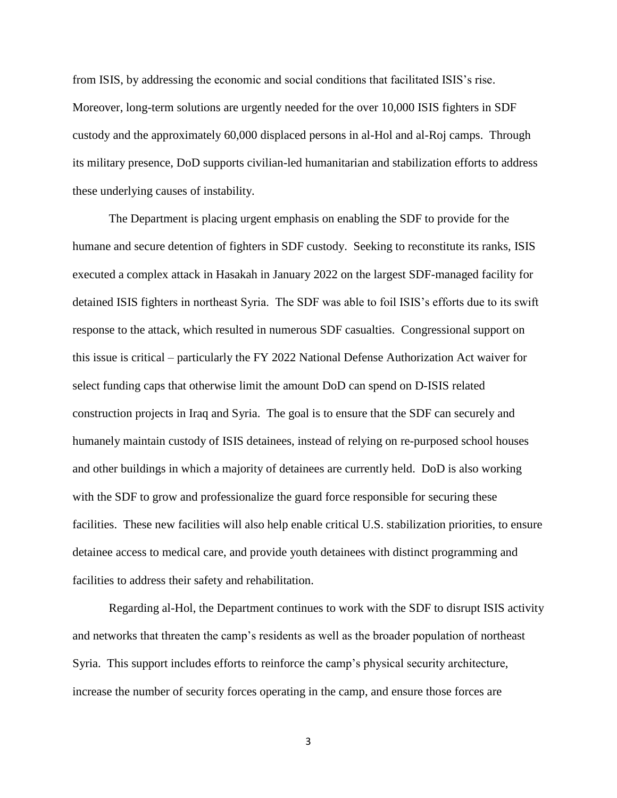from ISIS, by addressing the economic and social conditions that facilitated ISIS's rise. Moreover, long-term solutions are urgently needed for the over 10,000 ISIS fighters in SDF custody and the approximately 60,000 displaced persons in al-Hol and al-Roj camps. Through its military presence, DoD supports civilian-led humanitarian and stabilization efforts to address these underlying causes of instability.

The Department is placing urgent emphasis on enabling the SDF to provide for the humane and secure detention of fighters in SDF custody. Seeking to reconstitute its ranks, ISIS executed a complex attack in Hasakah in January 2022 on the largest SDF-managed facility for detained ISIS fighters in northeast Syria. The SDF was able to foil ISIS's efforts due to its swift response to the attack, which resulted in numerous SDF casualties. Congressional support on this issue is critical – particularly the FY 2022 National Defense Authorization Act waiver for select funding caps that otherwise limit the amount DoD can spend on D-ISIS related construction projects in Iraq and Syria. The goal is to ensure that the SDF can securely and humanely maintain custody of ISIS detainees, instead of relying on re-purposed school houses and other buildings in which a majority of detainees are currently held. DoD is also working with the SDF to grow and professionalize the guard force responsible for securing these facilities. These new facilities will also help enable critical U.S. stabilization priorities, to ensure detainee access to medical care, and provide youth detainees with distinct programming and facilities to address their safety and rehabilitation.

Regarding al-Hol, the Department continues to work with the SDF to disrupt ISIS activity and networks that threaten the camp's residents as well as the broader population of northeast Syria. This support includes efforts to reinforce the camp's physical security architecture, increase the number of security forces operating in the camp, and ensure those forces are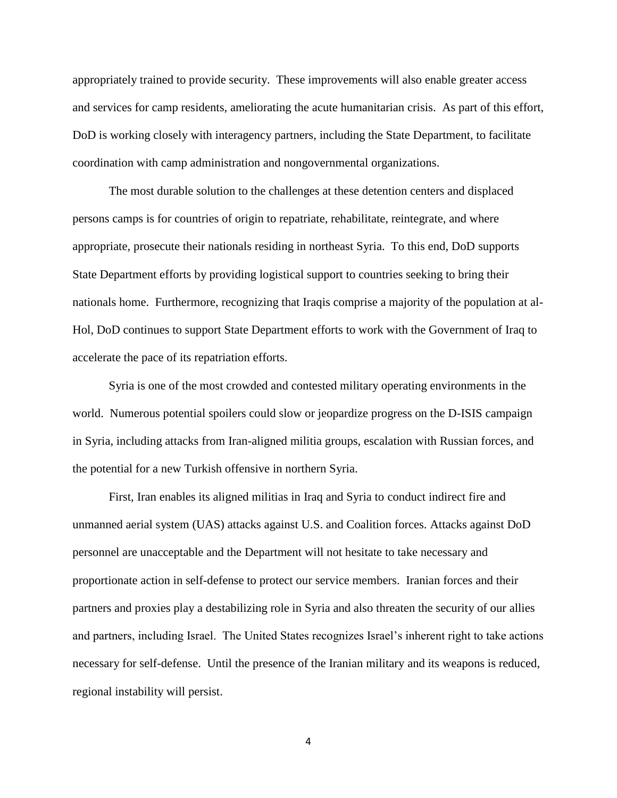appropriately trained to provide security. These improvements will also enable greater access and services for camp residents, ameliorating the acute humanitarian crisis. As part of this effort, DoD is working closely with interagency partners, including the State Department, to facilitate coordination with camp administration and nongovernmental organizations.

The most durable solution to the challenges at these detention centers and displaced persons camps is for countries of origin to repatriate, rehabilitate, reintegrate, and where appropriate, prosecute their nationals residing in northeast Syria. To this end, DoD supports State Department efforts by providing logistical support to countries seeking to bring their nationals home. Furthermore, recognizing that Iraqis comprise a majority of the population at al-Hol, DoD continues to support State Department efforts to work with the Government of Iraq to accelerate the pace of its repatriation efforts.

Syria is one of the most crowded and contested military operating environments in the world. Numerous potential spoilers could slow or jeopardize progress on the D-ISIS campaign in Syria, including attacks from Iran-aligned militia groups, escalation with Russian forces, and the potential for a new Turkish offensive in northern Syria.

First, Iran enables its aligned militias in Iraq and Syria to conduct indirect fire and unmanned aerial system (UAS) attacks against U.S. and Coalition forces. Attacks against DoD personnel are unacceptable and the Department will not hesitate to take necessary and proportionate action in self-defense to protect our service members. Iranian forces and their partners and proxies play a destabilizing role in Syria and also threaten the security of our allies and partners, including Israel. The United States recognizes Israel's inherent right to take actions necessary for self-defense. Until the presence of the Iranian military and its weapons is reduced, regional instability will persist.